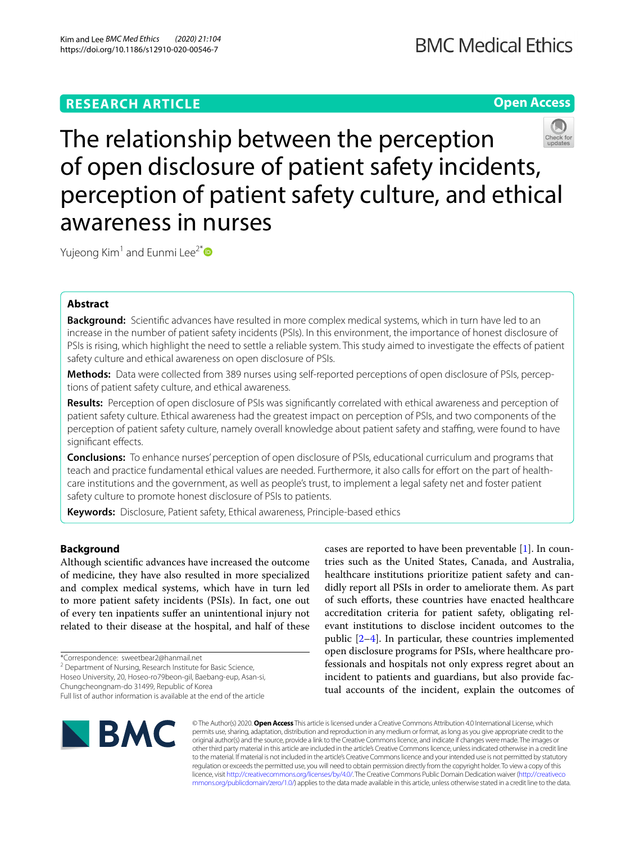# **Open Access**



The relationship between the perception of open disclosure of patient safety incidents, perception of patient safety culture, and ethical awareness in nurses

Yujeong Kim<sup>1</sup> and Eunmi Lee<sup>2[\\*](http://orcid.org/0000-0003-1998-6925)</sup>

# **Abstract**

**Background:** Scientifc advances have resulted in more complex medical systems, which in turn have led to an increase in the number of patient safety incidents (PSIs). In this environment, the importance of honest disclosure of PSIs is rising, which highlight the need to settle a reliable system. This study aimed to investigate the effects of patient safety culture and ethical awareness on open disclosure of PSIs.

**Methods:** Data were collected from 389 nurses using self-reported perceptions of open disclosure of PSIs, perceptions of patient safety culture, and ethical awareness.

**Results:** Perception of open disclosure of PSIs was signifcantly correlated with ethical awareness and perception of patient safety culture. Ethical awareness had the greatest impact on perception of PSIs, and two components of the perception of patient safety culture, namely overall knowledge about patient safety and staffing, were found to have significant effects.

**Conclusions:** To enhance nurses' perception of open disclosure of PSIs, educational curriculum and programs that teach and practice fundamental ethical values are needed. Furthermore, it also calls for effort on the part of healthcare institutions and the government, as well as people's trust, to implement a legal safety net and foster patient safety culture to promote honest disclosure of PSIs to patients.

**Keywords:** Disclosure, Patient safety, Ethical awareness, Principle-based ethics

## **Background**

Although scientifc advances have increased the outcome of medicine, they have also resulted in more specialized and complex medical systems, which have in turn led to more patient safety incidents (PSIs). In fact, one out of every ten inpatients sufer an unintentional injury not related to their disease at the hospital, and half of these

<sup>2</sup> Department of Nursing, Research Institute for Basic Science,

Hoseo University, 20, Hoseo-ro79beon-gil, Baebang-eup, Asan-si,

Full list of author information is available at the end of the article

cases are reported to have been preventable [\[1](#page-7-0)]. In countries such as the United States, Canada, and Australia, healthcare institutions prioritize patient safety and candidly report all PSIs in order to ameliorate them. As part of such eforts, these countries have enacted healthcare accreditation criteria for patient safety, obligating relevant institutions to disclose incident outcomes to the public [[2–](#page-7-1)[4](#page-7-2)]. In particular, these countries implemented open disclosure programs for PSIs, where healthcare professionals and hospitals not only express regret about an incident to patients and guardians, but also provide factual accounts of the incident, explain the outcomes of



© The Author(s) 2020. **Open Access** This article is licensed under a Creative Commons Attribution 4.0 International License, which permits use, sharing, adaptation, distribution and reproduction in any medium or format, as long as you give appropriate credit to the original author(s) and the source, provide a link to the Creative Commons licence, and indicate if changes were made. The images or other third party material in this article are included in the article's Creative Commons licence, unless indicated otherwise in a credit line to the material. If material is not included in the article's Creative Commons licence and your intended use is not permitted by statutory regulation or exceeds the permitted use, you will need to obtain permission directly from the copyright holder. To view a copy of this licence, visit [http://creativecommons.org/licenses/by/4.0/.](http://creativecommons.org/licenses/by/4.0/) The Creative Commons Public Domain Dedication waiver ([http://creativeco](http://creativecommons.org/publicdomain/zero/1.0/) [mmons.org/publicdomain/zero/1.0/](http://creativecommons.org/publicdomain/zero/1.0/)) applies to the data made available in this article, unless otherwise stated in a credit line to the data.

<sup>\*</sup>Correspondence: sweetbear2@hanmail.net

Chungcheongnam-do 31499, Republic of Korea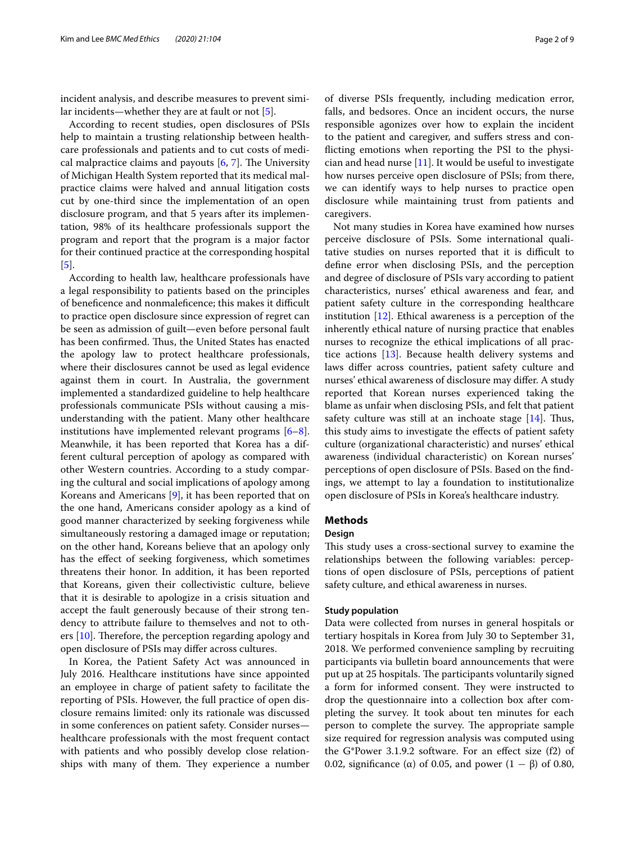incident analysis, and describe measures to prevent similar incidents—whether they are at fault or not [[5\]](#page-7-3).

According to recent studies, open disclosures of PSIs help to maintain a trusting relationship between healthcare professionals and patients and to cut costs of medical malpractice claims and payouts  $[6, 7]$  $[6, 7]$  $[6, 7]$  $[6, 7]$ . The University of Michigan Health System reported that its medical malpractice claims were halved and annual litigation costs cut by one-third since the implementation of an open disclosure program, and that 5 years after its implementation, 98% of its healthcare professionals support the program and report that the program is a major factor for their continued practice at the corresponding hospital [[5\]](#page-7-3).

According to health law, healthcare professionals have a legal responsibility to patients based on the principles of beneficence and nonmaleficence; this makes it difficult to practice open disclosure since expression of regret can be seen as admission of guilt—even before personal fault has been confirmed. Thus, the United States has enacted the apology law to protect healthcare professionals, where their disclosures cannot be used as legal evidence against them in court. In Australia, the government implemented a standardized guideline to help healthcare professionals communicate PSIs without causing a misunderstanding with the patient. Many other healthcare institutions have implemented relevant programs  $[6-8]$  $[6-8]$ . Meanwhile, it has been reported that Korea has a different cultural perception of apology as compared with other Western countries. According to a study comparing the cultural and social implications of apology among Koreans and Americans [\[9](#page-7-7)], it has been reported that on the one hand, Americans consider apology as a kind of good manner characterized by seeking forgiveness while simultaneously restoring a damaged image or reputation; on the other hand, Koreans believe that an apology only has the efect of seeking forgiveness, which sometimes threatens their honor. In addition, it has been reported that Koreans, given their collectivistic culture, believe that it is desirable to apologize in a crisis situation and accept the fault generously because of their strong tendency to attribute failure to themselves and not to others  $[10]$  $[10]$ . Therefore, the perception regarding apology and open disclosure of PSIs may difer across cultures.

In Korea, the Patient Safety Act was announced in July 2016. Healthcare institutions have since appointed an employee in charge of patient safety to facilitate the reporting of PSIs. However, the full practice of open disclosure remains limited: only its rationale was discussed in some conferences on patient safety. Consider nurses healthcare professionals with the most frequent contact with patients and who possibly develop close relationships with many of them. They experience a number of diverse PSIs frequently, including medication error, falls, and bedsores. Once an incident occurs, the nurse responsible agonizes over how to explain the incident to the patient and caregiver, and sufers stress and conficting emotions when reporting the PSI to the physician and head nurse  $[11]$  $[11]$ . It would be useful to investigate how nurses perceive open disclosure of PSIs; from there, we can identify ways to help nurses to practice open disclosure while maintaining trust from patients and caregivers.

Not many studies in Korea have examined how nurses perceive disclosure of PSIs. Some international qualitative studies on nurses reported that it is difficult to defne error when disclosing PSIs, and the perception and degree of disclosure of PSIs vary according to patient characteristics, nurses' ethical awareness and fear, and patient safety culture in the corresponding healthcare institution [\[12\]](#page-7-10). Ethical awareness is a perception of the inherently ethical nature of nursing practice that enables nurses to recognize the ethical implications of all practice actions [\[13](#page-7-11)]. Because health delivery systems and laws difer across countries, patient safety culture and nurses' ethical awareness of disclosure may difer. A study reported that Korean nurses experienced taking the blame as unfair when disclosing PSIs, and felt that patient safety culture was still at an inchoate stage  $[14]$  $[14]$ . Thus, this study aims to investigate the efects of patient safety culture (organizational characteristic) and nurses' ethical awareness (individual characteristic) on Korean nurses' perceptions of open disclosure of PSIs. Based on the fndings, we attempt to lay a foundation to institutionalize open disclosure of PSIs in Korea's healthcare industry.

## **Methods**

## **Design**

This study uses a cross-sectional survey to examine the relationships between the following variables: perceptions of open disclosure of PSIs, perceptions of patient safety culture, and ethical awareness in nurses.

### **Study population**

Data were collected from nurses in general hospitals or tertiary hospitals in Korea from July 30 to September 31, 2018. We performed convenience sampling by recruiting participants via bulletin board announcements that were put up at 25 hospitals. The participants voluntarily signed a form for informed consent. They were instructed to drop the questionnaire into a collection box after completing the survey. It took about ten minutes for each person to complete the survey. The appropriate sample size required for regression analysis was computed using the G\*Power 3.1.9.2 software. For an efect size (f2) of 0.02, significance (α) of 0.05, and power  $(1 - \beta)$  of 0.80,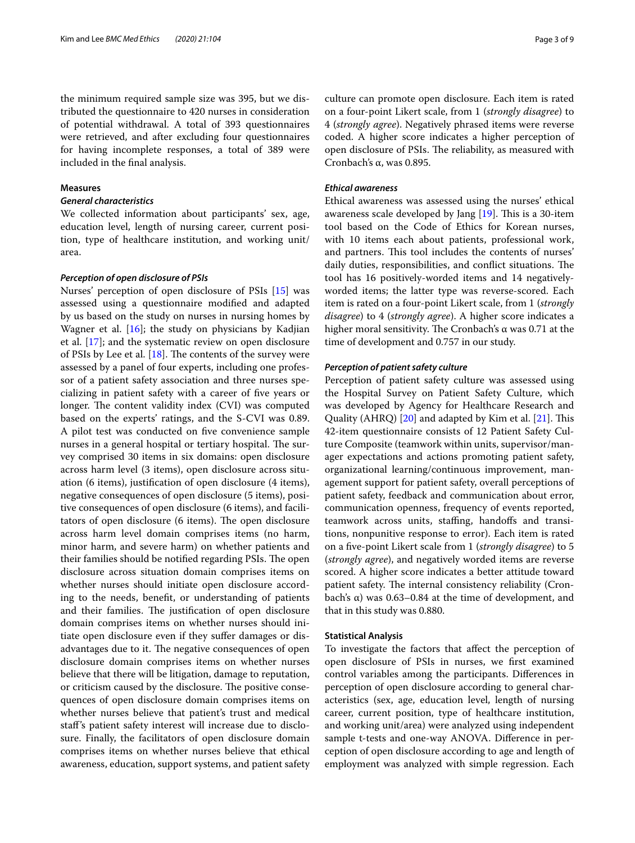the minimum required sample size was 395, but we distributed the questionnaire to 420 nurses in consideration of potential withdrawal. A total of 393 questionnaires were retrieved, and after excluding four questionnaires for having incomplete responses, a total of 389 were included in the fnal analysis.

## **Measures**

### *General characteristics*

We collected information about participants' sex, age, education level, length of nursing career, current position, type of healthcare institution, and working unit/ area.

## *Perception of open disclosure of PSIs*

Nurses' perception of open disclosure of PSIs [\[15\]](#page-7-13) was assessed using a questionnaire modifed and adapted by us based on the study on nurses in nursing homes by Wagner et al. [\[16](#page-8-0)]; the study on physicians by Kadjian et al. [\[17\]](#page-8-1); and the systematic review on open disclosure of PSIs by Lee et al.  $[18]$ . The contents of the survey were assessed by a panel of four experts, including one professor of a patient safety association and three nurses specializing in patient safety with a career of fve years or longer. The content validity index (CVI) was computed based on the experts' ratings, and the S-CVI was 0.89. A pilot test was conducted on fve convenience sample nurses in a general hospital or tertiary hospital. The survey comprised 30 items in six domains: open disclosure across harm level (3 items), open disclosure across situation (6 items), justifcation of open disclosure (4 items), negative consequences of open disclosure (5 items), positive consequences of open disclosure (6 items), and facilitators of open disclosure (6 items). The open disclosure across harm level domain comprises items (no harm, minor harm, and severe harm) on whether patients and their families should be notified regarding PSIs. The open disclosure across situation domain comprises items on whether nurses should initiate open disclosure according to the needs, beneft, or understanding of patients and their families. The justification of open disclosure domain comprises items on whether nurses should initiate open disclosure even if they suffer damages or disadvantages due to it. The negative consequences of open disclosure domain comprises items on whether nurses believe that there will be litigation, damage to reputation, or criticism caused by the disclosure. The positive consequences of open disclosure domain comprises items on whether nurses believe that patient's trust and medical staf's patient safety interest will increase due to disclosure. Finally, the facilitators of open disclosure domain comprises items on whether nurses believe that ethical awareness, education, support systems, and patient safety culture can promote open disclosure. Each item is rated on a four-point Likert scale, from 1 (*strongly disagree*) to 4 (*strongly agree*). Negatively phrased items were reverse coded. A higher score indicates a higher perception of open disclosure of PSIs. The reliability, as measured with Cronbach's α, was 0.895.

## *Ethical awareness*

Ethical awareness was assessed using the nurses' ethical awareness scale developed by Jang [\[19\]](#page-8-3). This is a 30-item tool based on the Code of Ethics for Korean nurses, with 10 items each about patients, professional work, and partners. This tool includes the contents of nurses' daily duties, responsibilities, and conflict situations. The tool has 16 positively-worded items and 14 negativelyworded items; the latter type was reverse-scored. Each item is rated on a four-point Likert scale, from 1 (*strongly disagree*) to 4 (*strongly agree*). A higher score indicates a higher moral sensitivity. The Cronbach's  $\alpha$  was 0.71 at the time of development and 0.757 in our study.

### *Perception of patient safety culture*

Perception of patient safety culture was assessed using the Hospital Survey on Patient Safety Culture, which was developed by Agency for Healthcare Research and Quality (AHRQ) [\[20\]](#page-8-4) and adapted by Kim et al. [\[21](#page-8-5)]. This 42-item questionnaire consists of 12 Patient Safety Culture Composite (teamwork within units, supervisor/manager expectations and actions promoting patient safety, organizational learning/continuous improvement, management support for patient safety, overall perceptions of patient safety, feedback and communication about error, communication openness, frequency of events reported, teamwork across units, staffing, handoffs and transitions, nonpunitive response to error). Each item is rated on a fve-point Likert scale from 1 (*strongly disagree*) to 5 (*strongly agree*), and negatively worded items are reverse scored. A higher score indicates a better attitude toward patient safety. The internal consistency reliability (Cronbach's α) was 0.63–0.84 at the time of development, and that in this study was 0.880.

#### **Statistical Analysis**

To investigate the factors that afect the perception of open disclosure of PSIs in nurses, we frst examined control variables among the participants. Diferences in perception of open disclosure according to general characteristics (sex, age, education level, length of nursing career, current position, type of healthcare institution, and working unit/area) were analyzed using independent sample t-tests and one-way ANOVA. Diference in perception of open disclosure according to age and length of employment was analyzed with simple regression. Each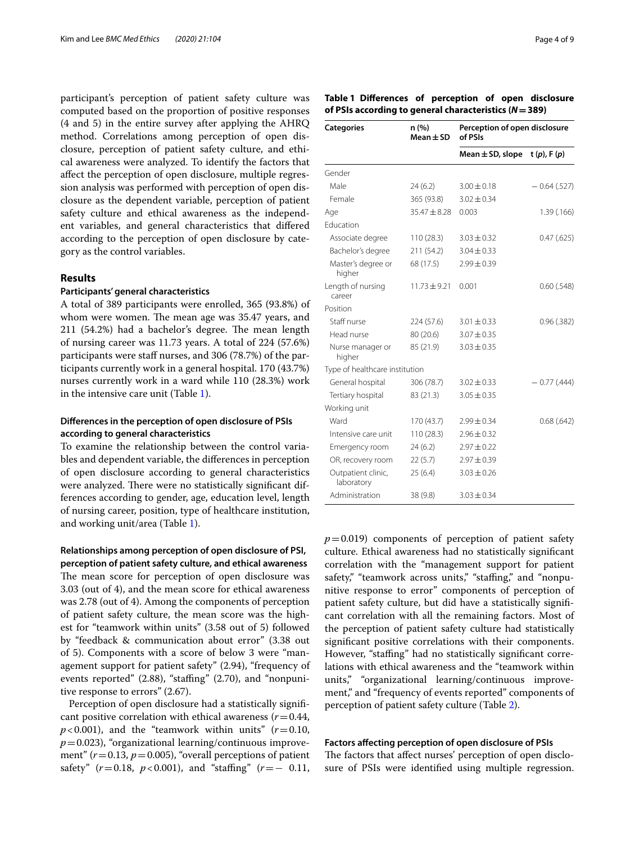participant's perception of patient safety culture was computed based on the proportion of positive responses (4 and 5) in the entire survey after applying the AHRQ method. Correlations among perception of open disclosure, perception of patient safety culture, and ethical awareness were analyzed. To identify the factors that afect the perception of open disclosure, multiple regression analysis was performed with perception of open disclosure as the dependent variable, perception of patient safety culture and ethical awareness as the independent variables, and general characteristics that difered according to the perception of open disclosure by category as the control variables.

## **Results**

## **Participants' general characteristics**

A total of 389 participants were enrolled, 365 (93.8%) of whom were women. The mean age was 35.47 years, and  $211$  (54.2%) had a bachelor's degree. The mean length of nursing career was 11.73 years. A total of 224 (57.6%) participants were staff nurses, and 306 (78.7%) of the participants currently work in a general hospital. 170 (43.7%) nurses currently work in a ward while 110 (28.3%) work in the intensive care unit (Table [1](#page-3-0)).

## **Diferences in the perception of open disclosure of PSIs according to general characteristics**

To examine the relationship between the control variables and dependent variable, the diferences in perception of open disclosure according to general characteristics were analyzed. There were no statistically significant differences according to gender, age, education level, length of nursing career, position, type of healthcare institution, and working unit/area (Table [1\)](#page-3-0).

## **Relationships among perception of open disclosure of PSI, perception of patient safety culture, and ethical awareness**

The mean score for perception of open disclosure was 3.03 (out of 4), and the mean score for ethical awareness was 2.78 (out of 4). Among the components of perception of patient safety culture, the mean score was the highest for "teamwork within units" (3.58 out of 5) followed by "feedback & communication about error" (3.38 out of 5). Components with a score of below 3 were "management support for patient safety" (2.94), "frequency of events reported" (2.88), "staffing" (2.70), and "nonpunitive response to errors" (2.67).

Perception of open disclosure had a statistically signifcant positive correlation with ethical awareness  $(r=0.44,$  $p$ <0.001), and the "teamwork within units" ( $r$ =0.10,  $p=0.023$ ), "organizational learning/continuous improvement" ( $r = 0.13$ ,  $p = 0.005$ ), "overall perceptions of patient safety"  $(r=0.18, p<0.001)$ , and "staffing"  $(r=-0.11,$ 

<span id="page-3-0"></span>**Table 1 Diferences of perception of open disclosure of PSIs according to general characteristics (***N***=389)**

| <b>Categories</b>                | n (%)<br>$Mean \pm SD$ | Perception of open disclosure<br>of PSIs |                  |  |
|----------------------------------|------------------------|------------------------------------------|------------------|--|
|                                  |                        | Mean $\pm$ SD, slope                     | $t(p)$ , F $(p)$ |  |
| Gender                           |                        |                                          |                  |  |
| Male                             | 24(6.2)                | $3.00 \pm 0.18$                          | $-0.64(.527)$    |  |
| Female                           | 365 (93.8)             | $3.02 \pm 0.34$                          |                  |  |
| Age                              | $35.47 \pm 8.28$       | 0.003                                    | 1.39(0.166)      |  |
| Education                        |                        |                                          |                  |  |
| Associate degree                 | 110(28.3)              | $3.03 \pm 0.32$                          | 0.47(.625)       |  |
| Bachelor's degree                | 211 (54.2)             | $3.04 \pm 0.33$                          |                  |  |
| Master's degree or<br>higher     | 68 (17.5)              | $2.99 \pm 0.39$                          |                  |  |
| Length of nursing<br>career      | $11.73 \pm 9.21$       | 0.001                                    | $0.60$ $(.548)$  |  |
| Position                         |                        |                                          |                  |  |
| Staff nurse                      | 224 (57.6)             | $3.01 \pm 0.33$                          | 0.96(.382)       |  |
| Head nurse                       | 80 (20.6)              | $3.07 \pm 0.35$                          |                  |  |
| Nurse manager or<br>higher       | 85 (21.9)              | $3.03 \pm 0.35$                          |                  |  |
| Type of healthcare institution   |                        |                                          |                  |  |
| General hospital                 | 306 (78.7)             | $3.02 \pm 0.33$                          | $-0.77(0.444)$   |  |
| Tertiary hospital                | 83 (21.3)              | $3.05 \pm 0.35$                          |                  |  |
| Working unit                     |                        |                                          |                  |  |
| Ward                             | 170 (43.7)             | $2.99 \pm 0.34$                          | 0.68(.642)       |  |
| Intensive care unit              | 110(28.3)              | $2.96 \pm 0.32$                          |                  |  |
| Emergency room                   | 24 (6.2)               | $2.97 \pm 0.22$                          |                  |  |
| OR, recovery room                | 22(5.7)                | $2.97 \pm 0.39$                          |                  |  |
| Outpatient clinic,<br>laboratory | 25(6.4)                | $3.03 \pm 0.26$                          |                  |  |
| Administration                   | 38 (9.8)               | $3.03 \pm 0.34$                          |                  |  |

 $p=0.019$ ) components of perception of patient safety culture. Ethical awareness had no statistically signifcant correlation with the "management support for patient safety," "teamwork across units," "staffing," and "nonpunitive response to error" components of perception of patient safety culture, but did have a statistically signifcant correlation with all the remaining factors. Most of the perception of patient safety culture had statistically signifcant positive correlations with their components. However, "staffing" had no statistically significant correlations with ethical awareness and the "teamwork within units," "organizational learning/continuous improvement," and "frequency of events reported" components of perception of patient safety culture (Table [2](#page-4-0)).

#### **Factors afecting perception of open disclosure of PSIs**

The factors that affect nurses' perception of open disclosure of PSIs were identifed using multiple regression.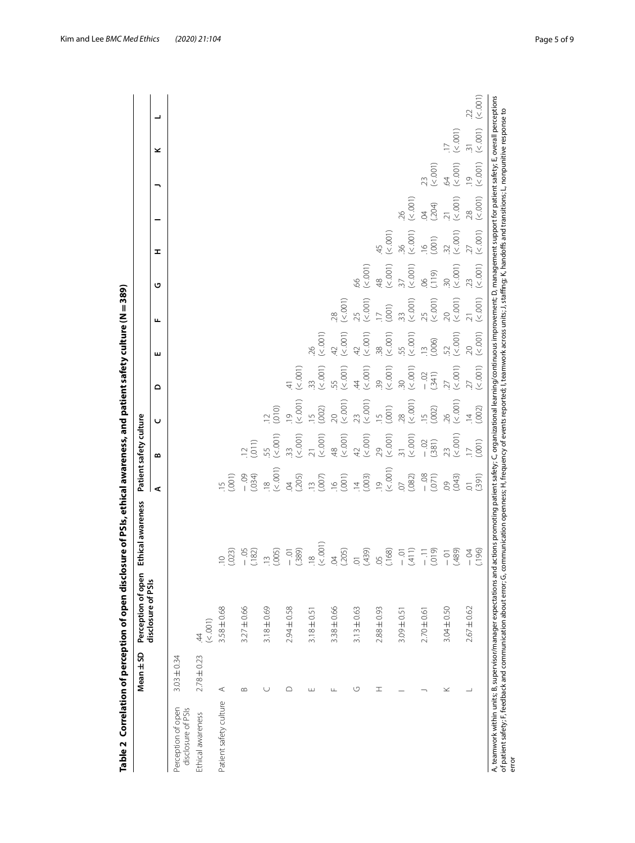|                                          | Mean ± SD                | Perception of open | Ethical awareness                                       |                                                                                                | Patient safety culture   |                               |                                                                                                                                                                          |                                                                                                                                                           |                              |                              |                                |                              |                               |                   |                                                   |
|------------------------------------------|--------------------------|--------------------|---------------------------------------------------------|------------------------------------------------------------------------------------------------|--------------------------|-------------------------------|--------------------------------------------------------------------------------------------------------------------------------------------------------------------------|-----------------------------------------------------------------------------------------------------------------------------------------------------------|------------------------------|------------------------------|--------------------------------|------------------------------|-------------------------------|-------------------|---------------------------------------------------|
|                                          |                          | disclosure of PSIs |                                                         | ⋖                                                                                              | $\bf{m}$                 | ں                             | $\Omega$                                                                                                                                                                 | Щ                                                                                                                                                         | щ                            | ט                            | <b>I</b>                       |                              |                               | ⊻                 |                                                   |
| Perception of open<br>disclosure of PSIs | $3.03 \pm 0.34$          |                    |                                                         |                                                                                                |                          |                               |                                                                                                                                                                          |                                                                                                                                                           |                              |                              |                                |                              |                               |                   |                                                   |
| Ethical awareness                        | $2.78 \pm 0.23$          | $(<.001)$<br>4     |                                                         |                                                                                                |                          |                               |                                                                                                                                                                          |                                                                                                                                                           |                              |                              |                                |                              |                               |                   |                                                   |
| Patient safety culture                   | ⋖                        | 3.58±0.68          | (0.023)                                                 | (150)                                                                                          |                          |                               |                                                                                                                                                                          |                                                                                                                                                           |                              |                              |                                |                              |                               |                   |                                                   |
|                                          | $\infty$                 | $3.27 \pm 0.66$    |                                                         | $-0.09$<br>(.034)                                                                              |                          |                               |                                                                                                                                                                          |                                                                                                                                                           |                              |                              |                                |                              |                               |                   |                                                   |
|                                          | $\cup$                   | 3.18±0.69          | $-0.5$<br>$(182)$<br>$(182)$<br>$(0.05)$                | $(18)$<br>(<.001)                                                                              |                          | (010)                         |                                                                                                                                                                          |                                                                                                                                                           |                              |                              |                                |                              |                               |                   |                                                   |
|                                          | $\bigcirc$               | 2.94±0.58          | $-0.01$<br>(.389)                                       | (205)                                                                                          |                          | $(19)$<br>(<.001)             | (100.1)                                                                                                                                                                  |                                                                                                                                                           |                              |                              |                                |                              |                               |                   |                                                   |
|                                          | ш                        | $3.18 \pm 0.5$     | $(18$<br>(<.001)                                        |                                                                                                |                          | (000)                         |                                                                                                                                                                          |                                                                                                                                                           |                              |                              |                                |                              |                               |                   |                                                   |
|                                          | Щ                        | 3.38±0.66          |                                                         |                                                                                                |                          | $(20)$<br>$(6.001)$<br>$(23)$ |                                                                                                                                                                          |                                                                                                                                                           | $(28)$<br>$(5,001)$<br>$25$  |                              |                                |                              |                               |                   |                                                   |
|                                          | O                        | $3.13 \pm 0.63$    |                                                         |                                                                                                |                          | $(<.001)$                     |                                                                                                                                                                          |                                                                                                                                                           | $(<.001)$                    | $(<.001)$<br>.<br>36         |                                |                              |                               |                   |                                                   |
|                                          | I                        | 2.88±0.93          | $(305)$ $(305)$ $(305)$ $(439)$ $(505)$ $(500)$ $(500)$ | $\begin{array}{c} .13 \\ .007 \\ .16 \\ .0011 \\ .0033 \\ .19 \\ (.003) \\ (.001) \end{array}$ |                          | $(15)$<br>$(001)$             | $\begin{array}{l} 33\\ (\times .001)\\ 55\\ (\times .001)\\ (\times .001)\\ (\times .001)\\ (\times .001)\\ (\times .001)\\ (\times .001)\\ (\times .001)\\ \end{array}$ | $\begin{array}{l} (26 \\ (\times .001) \\ (\times .001) \\ (\times .001) \\ (\times .001) \\ (\times .001) \\ (\times .001) \\ (\times .001) \end{array}$ | (17)                         | $(48)$<br>$(5,001)$          | $(45$<br>(<.001)               |                              |                               |                   |                                                   |
|                                          |                          | $3.09 \pm 0.5$     |                                                         | $07$<br>(.082)                                                                                 |                          | $(28)$<br>$(5,001)$           |                                                                                                                                                                          |                                                                                                                                                           | (33)                         | $37$<br>(<.001)              |                                | $(<.001)$<br>26              |                               |                   |                                                   |
|                                          |                          | $2.70 \pm 0.61$    | (019)<br>$\frac{1}{2}$                                  | $-0.08$<br>(.071)                                                                              |                          | (000)                         | $-02$<br>(341)                                                                                                                                                           |                                                                                                                                                           | $(<.001)$<br>25              | (611)                        | $\frac{36}{(-001)}$<br>$(001)$ | (204)                        |                               |                   |                                                   |
|                                          | ×                        | $3.04 \pm 0.50$    | (489)<br>$-0$                                           | (043)<br>$\overline{60}$                                                                       | $(<.001)$<br>23          | ( < .001)<br>$\frac{26}{5}$   | $(<.001)$<br>$\overline{27}$                                                                                                                                             | $55$<br>$(< .001)$<br>$(0.006)$<br>$(< .001)$<br>$(< .001)$                                                                                               | ( < .001)<br>$\overline{20}$ | $(<.001)$<br>30 <sub>o</sub> | $32$<br>(<.001)                | $(<.001)$<br>$\overline{21}$ | $(<.001)$<br>$($ <.001)<br>64 | $(17)$<br>(<.001) |                                                   |
|                                          | $\overline{\phantom{0}}$ | $2.67 \pm 0.62$    | (196)<br>$-04$                                          | $\frac{1}{(391)}$                                                                              | (0001)<br>$\overline{C}$ | (000)                         | $(<.001)$<br>$\overline{27}$                                                                                                                                             | $^{20}_{(\leq 001)}$                                                                                                                                      | $(<.001)$<br>$\overline{21}$ | $(23)$<br>$(5,001)$          | $(<.001)$<br>27                | $(<.001)$<br>.28             | $(19)$<br>(<.001)             |                   | $\frac{31}{(\leq .001)}$ $\frac{22}{(\leq .001)}$ |

<span id="page-4-0"></span>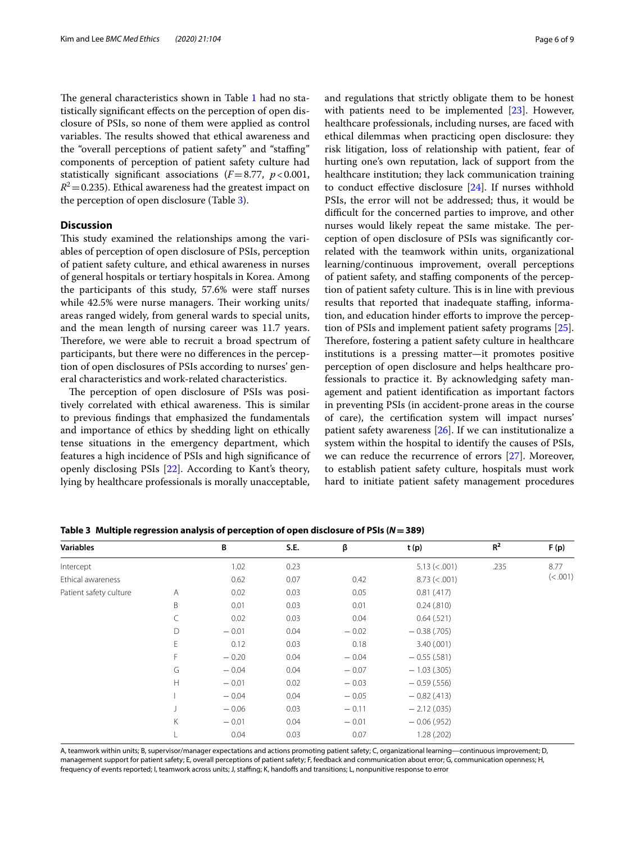The general characteristics shown in Table [1](#page-3-0) had no statistically signifcant efects on the perception of open disclosure of PSIs, so none of them were applied as control variables. The results showed that ethical awareness and the "overall perceptions of patient safety" and "staffing" components of perception of patient safety culture had statistically signifcant associations (*F*=8.77, *p*<0.001,  $R^2$  = 0.235). Ethical awareness had the greatest impact on the perception of open disclosure (Table [3](#page-5-0)).

## **Discussion**

This study examined the relationships among the variables of perception of open disclosure of PSIs, perception of patient safety culture, and ethical awareness in nurses of general hospitals or tertiary hospitals in Korea. Among the participants of this study, 57.6% were staff nurses while 42.5% were nurse managers. Their working units/ areas ranged widely, from general wards to special units, and the mean length of nursing career was 11.7 years. Therefore, we were able to recruit a broad spectrum of participants, but there were no diferences in the perception of open disclosures of PSIs according to nurses' general characteristics and work-related characteristics.

The perception of open disclosure of PSIs was positively correlated with ethical awareness. This is similar to previous fndings that emphasized the fundamentals and importance of ethics by shedding light on ethically tense situations in the emergency department, which features a high incidence of PSIs and high signifcance of openly disclosing PSIs [\[22](#page-8-6)]. According to Kant's theory, lying by healthcare professionals is morally unacceptable, and regulations that strictly obligate them to be honest with patients need to be implemented [[23\]](#page-8-7). However, healthcare professionals, including nurses, are faced with ethical dilemmas when practicing open disclosure: they risk litigation, loss of relationship with patient, fear of hurting one's own reputation, lack of support from the healthcare institution; they lack communication training to conduct effective disclosure  $[24]$  $[24]$ . If nurses withhold PSIs, the error will not be addressed; thus, it would be difficult for the concerned parties to improve, and other nurses would likely repeat the same mistake. The perception of open disclosure of PSIs was signifcantly correlated with the teamwork within units, organizational learning/continuous improvement, overall perceptions of patient safety, and stafng components of the perception of patient safety culture. This is in line with previous results that reported that inadequate staffing, information, and education hinder efforts to improve the perception of PSIs and implement patient safety programs [\[25](#page-8-9)]. Therefore, fostering a patient safety culture in healthcare institutions is a pressing matter—it promotes positive perception of open disclosure and helps healthcare professionals to practice it. By acknowledging safety management and patient identifcation as important factors in preventing PSIs (in accident-prone areas in the course of care), the certifcation system will impact nurses' patient safety awareness [[26](#page-8-10)]. If we can institutionalize a system within the hospital to identify the causes of PSIs, we can reduce the recurrence of errors  $[27]$  $[27]$  $[27]$ . Moreover, to establish patient safety culture, hospitals must work hard to initiate patient safety management procedures

| <b>Variables</b>       |   | В       | S.E. | β       | t(p)               | $R^2$ | F(p)     |
|------------------------|---|---------|------|---------|--------------------|-------|----------|
| Intercept              |   | 1.02    | 0.23 |         | $5.13 \; (< .001)$ | .235  | 8.77     |
| Ethical awareness      |   | 0.62    | 0.07 | 0.42    | 8.73 (< .001)      |       | (< .001) |
| Patient safety culture | Α | 0.02    | 0.03 | 0.05    | 0.81(.417)         |       |          |
|                        | B | 0.01    | 0.03 | 0.01    | 0.24(.810)         |       |          |
|                        | C | 0.02    | 0.03 | 0.04    | 0.64(.521)         |       |          |
|                        | D | $-0.01$ | 0.04 | $-0.02$ | $-0.38(.705)$      |       |          |
|                        | E | 0.12    | 0.03 | 0.18    | 3.40 (.001)        |       |          |
|                        | F | $-0.20$ | 0.04 | $-0.04$ | $-0.55(.581)$      |       |          |
|                        | G | $-0.04$ | 0.04 | $-0.07$ | $-1.03(.305)$      |       |          |
|                        | H | $-0.01$ | 0.02 | $-0.03$ | $-0.59(.556)$      |       |          |
|                        |   | $-0.04$ | 0.04 | $-0.05$ | $-0.82(.413)$      |       |          |
|                        |   | $-0.06$ | 0.03 | $-0.11$ | $-2.12(.035)$      |       |          |
|                        | Κ | $-0.01$ | 0.04 | $-0.01$ | $-0.06(.952)$      |       |          |
|                        |   | 0.04    | 0.03 | 0.07    | 1.28(.202)         |       |          |

<span id="page-5-0"></span>**Table 3 Multiple regression analysis of perception of open disclosure of PSIs (***N***=389)**

A, teamwork within units; B, supervisor/manager expectations and actions promoting patient safety; C, organizational learning—continuous improvement; D, management support for patient safety; E, overall perceptions of patient safety; F, feedback and communication about error; G, communication openness; H, frequency of events reported; I, teamwork across units; J, staffing; K, handoffs and transitions; L, nonpunitive response to error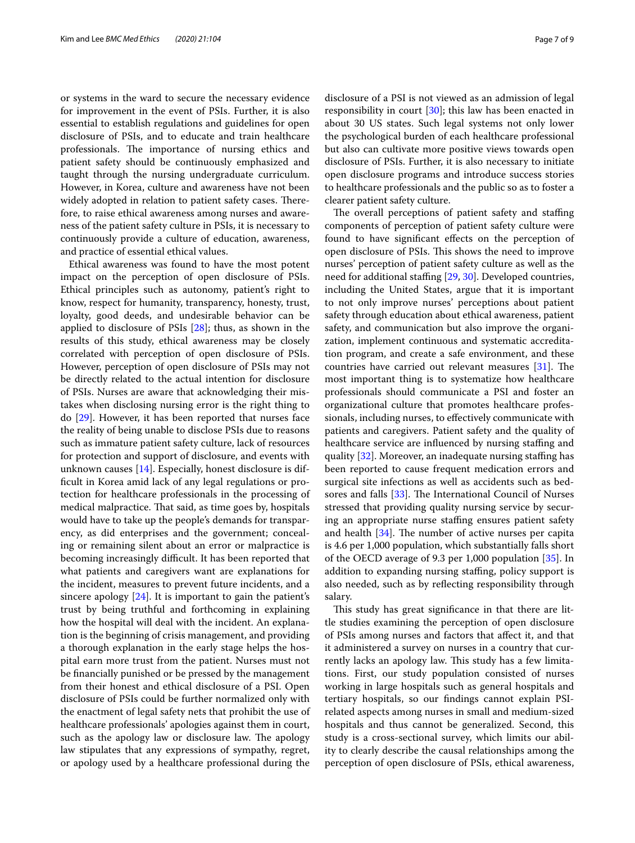or systems in the ward to secure the necessary evidence for improvement in the event of PSIs. Further, it is also essential to establish regulations and guidelines for open disclosure of PSIs, and to educate and train healthcare professionals. The importance of nursing ethics and patient safety should be continuously emphasized and taught through the nursing undergraduate curriculum. However, in Korea, culture and awareness have not been widely adopted in relation to patient safety cases. Therefore, to raise ethical awareness among nurses and awareness of the patient safety culture in PSIs, it is necessary to continuously provide a culture of education, awareness, and practice of essential ethical values.

Ethical awareness was found to have the most potent impact on the perception of open disclosure of PSIs. Ethical principles such as autonomy, patient's right to know, respect for humanity, transparency, honesty, trust, loyalty, good deeds, and undesirable behavior can be applied to disclosure of PSIs [\[28\]](#page-8-12); thus, as shown in the results of this study, ethical awareness may be closely correlated with perception of open disclosure of PSIs. However, perception of open disclosure of PSIs may not be directly related to the actual intention for disclosure of PSIs. Nurses are aware that acknowledging their mistakes when disclosing nursing error is the right thing to do [[29\]](#page-8-13). However, it has been reported that nurses face the reality of being unable to disclose PSIs due to reasons such as immature patient safety culture, lack of resources for protection and support of disclosure, and events with unknown causes [\[14](#page-7-12)]. Especially, honest disclosure is diffcult in Korea amid lack of any legal regulations or protection for healthcare professionals in the processing of medical malpractice. That said, as time goes by, hospitals would have to take up the people's demands for transparency, as did enterprises and the government; concealing or remaining silent about an error or malpractice is becoming increasingly difficult. It has been reported that what patients and caregivers want are explanations for the incident, measures to prevent future incidents, and a sincere apology [[24\]](#page-8-8). It is important to gain the patient's trust by being truthful and forthcoming in explaining how the hospital will deal with the incident. An explanation is the beginning of crisis management, and providing a thorough explanation in the early stage helps the hospital earn more trust from the patient. Nurses must not be fnancially punished or be pressed by the management from their honest and ethical disclosure of a PSI. Open disclosure of PSIs could be further normalized only with the enactment of legal safety nets that prohibit the use of healthcare professionals' apologies against them in court, such as the apology law or disclosure law. The apology law stipulates that any expressions of sympathy, regret, or apology used by a healthcare professional during the disclosure of a PSI is not viewed as an admission of legal responsibility in court [\[30](#page-8-14)]; this law has been enacted in about 30 US states. Such legal systems not only lower the psychological burden of each healthcare professional but also can cultivate more positive views towards open disclosure of PSIs. Further, it is also necessary to initiate open disclosure programs and introduce success stories to healthcare professionals and the public so as to foster a clearer patient safety culture.

The overall perceptions of patient safety and staffing components of perception of patient safety culture were found to have signifcant efects on the perception of open disclosure of PSIs. This shows the need to improve nurses' perception of patient safety culture as well as the need for additional staffing [[29,](#page-8-13) [30](#page-8-14)]. Developed countries, including the United States, argue that it is important to not only improve nurses' perceptions about patient safety through education about ethical awareness, patient safety, and communication but also improve the organization, implement continuous and systematic accreditation program, and create a safe environment, and these countries have carried out relevant measures  $[31]$  $[31]$ . The most important thing is to systematize how healthcare professionals should communicate a PSI and foster an organizational culture that promotes healthcare professionals, including nurses, to efectively communicate with patients and caregivers. Patient safety and the quality of healthcare service are influenced by nursing staffing and quality  $[32]$ . Moreover, an inadequate nursing staffing has been reported to cause frequent medication errors and surgical site infections as well as accidents such as bed-sores and falls [[33\]](#page-8-17). The International Council of Nurses stressed that providing quality nursing service by securing an appropriate nurse staffing ensures patient safety and health  $[34]$  $[34]$ . The number of active nurses per capita is 4.6 per 1,000 population, which substantially falls short of the OECD average of 9.3 per 1,000 population [[35\]](#page-8-19). In addition to expanding nursing staffing, policy support is also needed, such as by refecting responsibility through salary.

This study has great significance in that there are little studies examining the perception of open disclosure of PSIs among nurses and factors that afect it, and that it administered a survey on nurses in a country that currently lacks an apology law. This study has a few limitations. First, our study population consisted of nurses working in large hospitals such as general hospitals and tertiary hospitals, so our fndings cannot explain PSIrelated aspects among nurses in small and medium-sized hospitals and thus cannot be generalized. Second, this study is a cross-sectional survey, which limits our ability to clearly describe the causal relationships among the perception of open disclosure of PSIs, ethical awareness,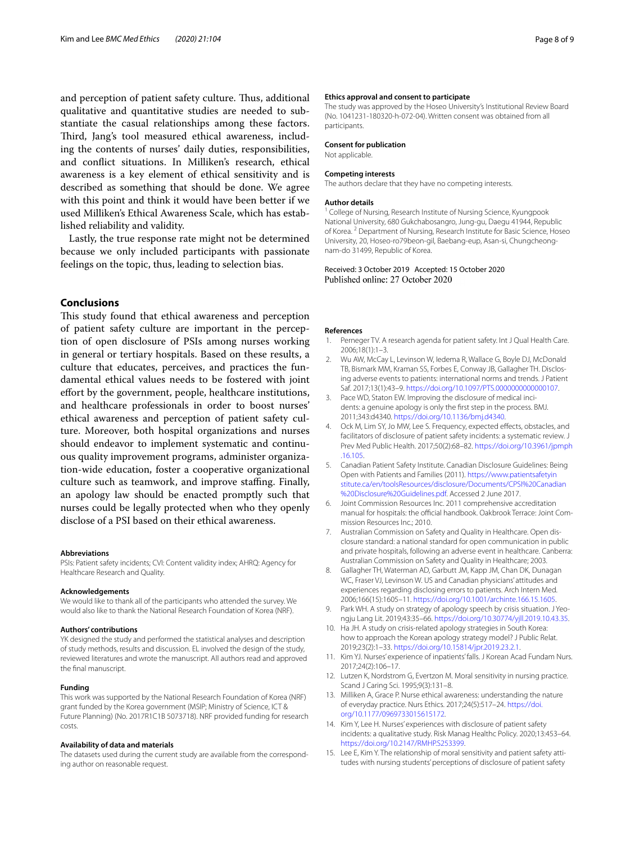and perception of patient safety culture. Thus, additional qualitative and quantitative studies are needed to substantiate the casual relationships among these factors. Third, Jang's tool measured ethical awareness, including the contents of nurses' daily duties, responsibilities, and confict situations. In Milliken's research, ethical awareness is a key element of ethical sensitivity and is described as something that should be done. We agree with this point and think it would have been better if we used Milliken's Ethical Awareness Scale, which has established reliability and validity.

Lastly, the true response rate might not be determined because we only included participants with passionate feelings on the topic, thus, leading to selection bias.

## **Conclusions**

This study found that ethical awareness and perception of patient safety culture are important in the perception of open disclosure of PSIs among nurses working in general or tertiary hospitals. Based on these results, a culture that educates, perceives, and practices the fundamental ethical values needs to be fostered with joint efort by the government, people, healthcare institutions, and healthcare professionals in order to boost nurses' ethical awareness and perception of patient safety culture. Moreover, both hospital organizations and nurses should endeavor to implement systematic and continuous quality improvement programs, administer organization-wide education, foster a cooperative organizational culture such as teamwork, and improve staffing. Finally, an apology law should be enacted promptly such that nurses could be legally protected when who they openly disclose of a PSI based on their ethical awareness.

#### **Abbreviations**

PSIs: Patient safety incidents; CVI: Content validity index; AHRQ: Agency for Healthcare Research and Quality.

#### **Acknowledgements**

We would like to thank all of the participants who attended the survey. We would also like to thank the National Research Foundation of Korea (NRF).

#### **Authors' contributions**

YK designed the study and performed the statistical analyses and description of study methods, results and discussion. EL involved the design of the study, reviewed literatures and wrote the manuscript. All authors read and approved the fnal manuscript.

#### **Funding**

This work was supported by the National Research Foundation of Korea (NRF) grant funded by the Korea government (MSIP; Ministry of Science, ICT & Future Planning) (No. 2017R1C1B 5073718). NRF provided funding for research costs.

#### **Availability of data and materials**

The datasets used during the current study are available from the corresponding author on reasonable request.

#### **Ethics approval and consent to participate**

The study was approved by the Hoseo University's Institutional Review Board (No. 1041231-180320-h-072-04). Written consent was obtained from all participants.

#### **Consent for publication**

Not applicable.

#### **Competing interests**

The authors declare that they have no competing interests.

#### **Author details**

<sup>1</sup> College of Nursing, Research Institute of Nursing Science, Kyungpook National University, 680 Gukchabosangro, Jung-gu, Daegu 41944, Republic of Korea.<sup>2</sup> Department of Nursing, Research Institute for Basic Science, Hoseo University, 20, Hoseo-ro79beon-gil, Baebang-eup, Asan-si, Chungcheongnam-do 31499, Republic of Korea.

# Received: 3 October 2019 Accepted: 15 October 2020

#### **References**

- <span id="page-7-0"></span>1. Perneger TV. A research agenda for patient safety. Int J Qual Health Care. 2006;18(1):1–3.
- <span id="page-7-1"></span>2. Wu AW, McCay L, Levinson W, Iedema R, Wallace G, Boyle DJ, McDonald TB, Bismark MM, Kraman SS, Forbes E, Conway JB, Gallagher TH. Disclosing adverse events to patients: international norms and trends. J Patient Saf. 2017;13(1):43–9. [https://doi.org/10.1097/PTS.0000000000000107.](https://doi.org/10.1097/PTS.0000000000000107)
- 3. Pace WD, Staton EW. Improving the disclosure of medical incidents: a genuine apology is only the frst step in the process. BMJ. 2011;343:d4340. <https://doi.org/10.1136/bmj.d4340>.
- <span id="page-7-2"></span>4. Ock M, Lim SY, Jo MW, Lee S. Frequency, expected efects, obstacles, and facilitators of disclosure of patient safety incidents: a systematic review. J Prev Med Public Health. 2017;50(2):68–82. [https://doi.org/10.3961/jpmph](https://doi.org/10.3961/jpmph.16.105) [.16.105.](https://doi.org/10.3961/jpmph.16.105)
- <span id="page-7-3"></span>5. Canadian Patient Safety Institute. Canadian Disclosure Guidelines: Being Open with Patients and Families (2011). [https://www.patientsafetyin](https://www.patientsafetyinstitute.ca/en/toolsResources/disclosure/Documents/CPSI%20Canadian%20Disclosure%20Guidelines.pdf) [stitute.ca/en/toolsResources/disclosure/Documents/CPSI%20Canadian](https://www.patientsafetyinstitute.ca/en/toolsResources/disclosure/Documents/CPSI%20Canadian%20Disclosure%20Guidelines.pdf) [%20Disclosure%20Guidelines.pdf.](https://www.patientsafetyinstitute.ca/en/toolsResources/disclosure/Documents/CPSI%20Canadian%20Disclosure%20Guidelines.pdf) Accessed 2 June 2017.
- <span id="page-7-4"></span>6. Joint Commission Resources Inc. 2011 comprehensive accreditation manual for hospitals: the official handbook. Oakbrook Terrace: Joint Commission Resources Inc.; 2010.
- <span id="page-7-5"></span>7. Australian Commission on Safety and Quality in Healthcare. Open disclosure standard: a national standard for open communication in public and private hospitals, following an adverse event in healthcare. Canberra: Australian Commission on Safety and Quality in Healthcare; 2003.
- <span id="page-7-6"></span>8. Gallagher TH, Waterman AD, Garbutt JM, Kapp JM, Chan DK, Dunagan WC, Fraser VJ, Levinson W. US and Canadian physicians' attitudes and experiences regarding disclosing errors to patients. Arch Intern Med. 2006;166(15):1605–11. [https://doi.org/10.1001/archinte.166.15.1605.](https://doi.org/10.1001/archinte.166.15.1605)
- <span id="page-7-7"></span>9. Park WH. A study on strategy of apology speech by crisis situation. J Yeongju Lang Lit. 2019;43:35–66. [https://doi.org/10.30774/yjll.2019.10.43.35.](https://doi.org/10.30774/yjll.2019.10.43.35)
- <span id="page-7-8"></span>10. Ha JH. A study on crisis-related apology strategies in South Korea: how to approach the Korean apology strategy model? J Public Relat. 2019;23(2):1–33. <https://doi.org/10.15814/jpr.2019.23.2.1>.
- <span id="page-7-9"></span>11. Kim YJ. Nurses' experience of inpatients' falls. J Korean Acad Fundam Nurs. 2017;24(2):106–17.
- <span id="page-7-10"></span>12. Lutzen K, Nordstrom G, Evertzon M. Moral sensitivity in nursing practice. Scand J Caring Sci. 1995;9(3):131–8.
- <span id="page-7-11"></span>13. Milliken A, Grace P. Nurse ethical awareness: understanding the nature of everyday practice. Nurs Ethics. 2017;24(5):517–24. [https://doi.](https://doi.org/10.1177/0969733015615172) [org/10.1177/0969733015615172](https://doi.org/10.1177/0969733015615172).
- <span id="page-7-12"></span>14. Kim Y, Lee H. Nurses' experiences with disclosure of patient safety incidents: a qualitative study. Risk Manag Healthc Policy. 2020;13:453–64. <https://doi.org/10.2147/RMHP.S253399>.
- <span id="page-7-13"></span>15. Lee E, Kim Y. The relationship of moral sensitivity and patient safety attitudes with nursing students' perceptions of disclosure of patient safety